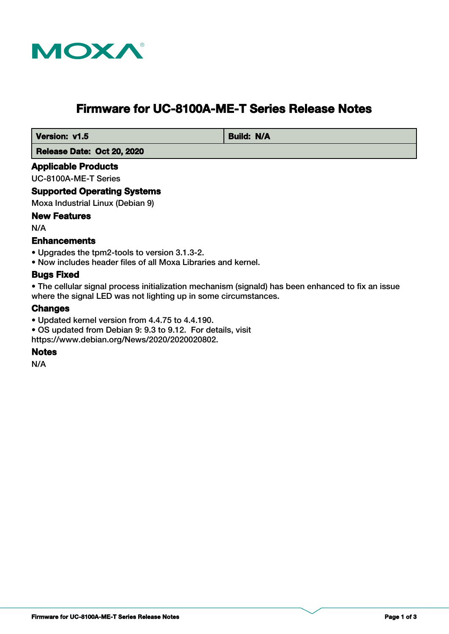

# **Firmware for UC-8100A-ME-T Series Release Notes**

**Version: v1.5** Build: N/A

 **Release Date: Oct 20, 2020**

# **Applicable Products**

UC-8100A-ME-T Series

# **Supported Operating Systems**

Moxa Industrial Linux (Debian 9)

# **New Features**

N/A

# **Enhancements**

- Upgrades the tpm2-tools to version 3.1.3-2.
- Now includes header files of all Moxa Libraries and kernel.

# **Bugs Fixed**

• The cellular signal process initialization mechanism (signald) has been enhanced to fix an issue where the signal LED was not lighting up in some circumstances.

# **Changes**

- Updated kernel version from 4.4.75 to 4.4.190.
- OS updated from Debian 9: 9.3 to 9.12. For details, visit

https://www.debian.org/News/2020/2020020802.

# **Notes**

N/A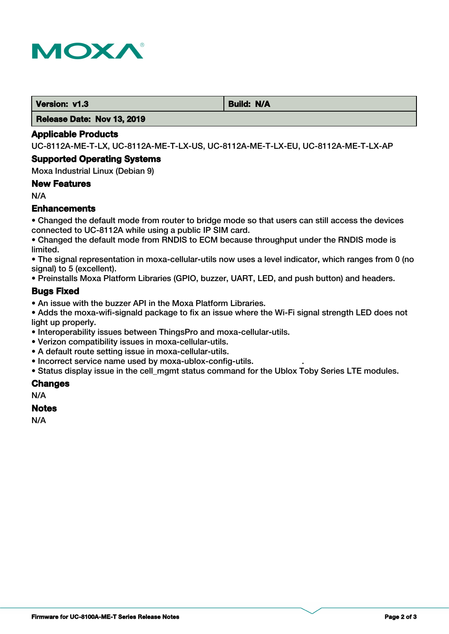

**Version: v1.3 Build: N/A** 

 **Release Date: Nov 13, 2019**

### **Applicable Products**

UC-8112A-ME-T-LX, UC-8112A-ME-T-LX-US, UC-8112A-ME-T-LX-EU, UC-8112A-ME-T-LX-AP

### **Supported Operating Systems**

Moxa Industrial Linux (Debian 9)

## **New Features**

N/A

# **Enhancements**

• Changed the default mode from router to bridge mode so that users can still access the devices connected to UC-8112A while using a public IP SIM card.

• Changed the default mode from RNDIS to ECM because throughput under the RNDIS mode is limited.

• The signal representation in moxa-cellular-utils now uses a level indicator, which ranges from 0 (no signal) to 5 (excellent).

• Preinstalls Moxa Platform Libraries (GPIO, buzzer, UART, LED, and push button) and headers.

## **Bugs Fixed**

• An issue with the buzzer API in the Moxa Platform Libraries.

• Adds the moxa-wifi-signald package to fix an issue where the Wi-Fi signal strength LED does not light up properly.

- Interoperability issues between ThingsPro and moxa-cellular-utils.
- Verizon compatibility issues in moxa-cellular-utils.
- A default route setting issue in moxa-cellular-utils.
- Incorrect service name used by moxa-ublox-config-utils. .

• Status display issue in the cell\_mgmt status command for the Ublox Toby Series LTE modules.

## **Changes**

N/A

### **Notes**

N/A